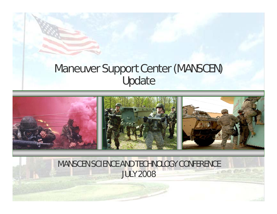## Maneuver Support Center (MANSCEN) Update



### MANSCEN SCIENCE AND TECHNOLOGY CONFERENCE JULY 2008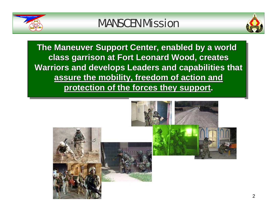



**The Maneuver Support Center, enabled by a world The Maneuver Support Center, enabled by a world The Maneuver Support Center, enabled by a world class garrison at Fort Leonard Wood, creates class garrison at Fort Leonard Wood, creates class garrison at Fort Leonard Wood, creates Warriors and develops Leaders and capabilities that**  $\vert$ **assure the mobility, freedom of action and assure the mobility, freedom of action and assure the mobility, freedom of action and protection of the forces they support. protection of the forces they support protection of the forces they support.**

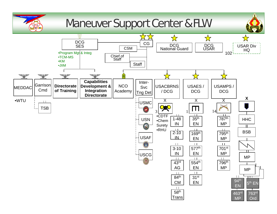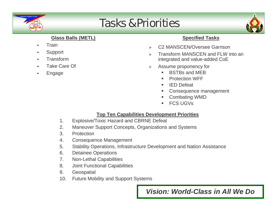

# Tasks & Priorities



#### **Glass Balls (METL)**

- $\blacksquare$ **Train**
- $\blacksquare$ Support
- $\blacksquare$ Transform
- $\blacksquare$ Take Care Of
- $\blacksquare$ Engage

#### **Specified Tasks**

- $\triangleright$ C2 MANSCEN/Oversee Garrison
- ¾ Transform MANSCEN and FLW into an integrated and value-added CoE
- $\blacktriangleright$  Assume proponency for
	- $\blacksquare$ BSTBs and MEB
	- $\blacksquare$ Protection WFF
	- $\mathbf{u}$ IED Defeat
	- $\blacksquare$ Consequence management
	- Combating WMD
	- П FCS UGVs

#### **Top Ten Capabilities Development Priorities**

- 1. Explosive/Toxic Hazard and CBRNE Defeat
- 2. Maneuver Support Concepts, Organizations and Systems
- 3. Protection
- 4. Consequence Management
- 5. Stability Operations, Infrastructure Development and Nation Assistance
- 6. Detainee Operations
- 7. Non-Lethal Capabilities
- 8. Joint Functional Capabilities
- 9. Geospatial
- 10. Future Mobility and Support Systems

4*Vision: World-Class in All We Do*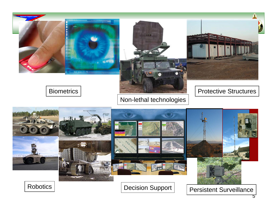



### Biometrics

### Non-lethal technologies

#### Protective Structures